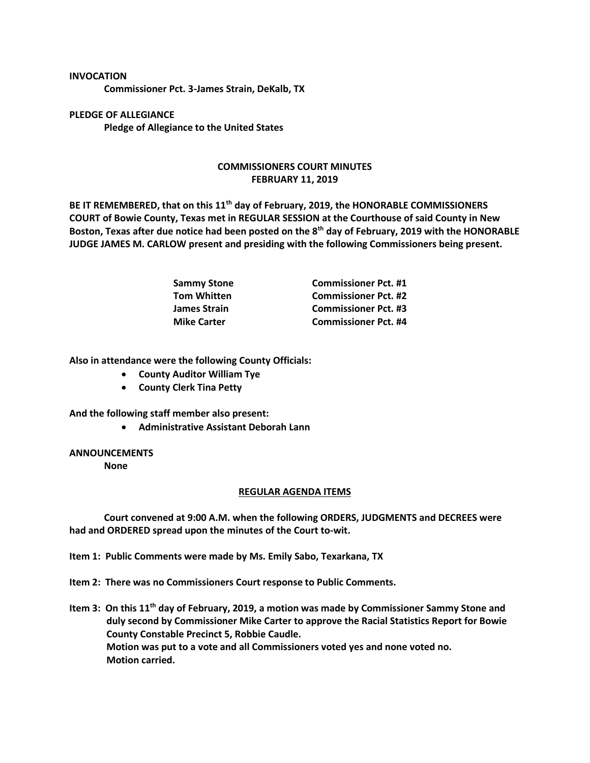## **INVOCATION**

**Commissioner Pct. 3-James Strain, DeKalb, TX**

**PLEDGE OF ALLEGIANCE Pledge of Allegiance to the United States**

## **COMMISSIONERS COURT MINUTES FEBRUARY 11, 2019**

**BE IT REMEMBERED, that on this 11th day of February, 2019, the HONORABLE COMMISSIONERS COURT of Bowie County, Texas met in REGULAR SESSION at the Courthouse of said County in New Boston, Texas after due notice had been posted on the 8th day of February, 2019 with the HONORABLE JUDGE JAMES M. CARLOW present and presiding with the following Commissioners being present.**

| Sammy Stone        | <b>Commissioner Pct. #1</b> |
|--------------------|-----------------------------|
| Tom Whitten        | <b>Commissioner Pct. #2</b> |
| James Strain       | <b>Commissioner Pct. #3</b> |
| <b>Mike Carter</b> | <b>Commissioner Pct. #4</b> |

**Also in attendance were the following County Officials:**

- **County Auditor William Tye**
- **County Clerk Tina Petty**

**And the following staff member also present:**

• **Administrative Assistant Deborah Lann**

## **ANNOUNCEMENTS**

**None**

## **REGULAR AGENDA ITEMS**

**Court convened at 9:00 A.M. when the following ORDERS, JUDGMENTS and DECREES were had and ORDERED spread upon the minutes of the Court to-wit.**

**Item 1: Public Comments were made by Ms. Emily Sabo, Texarkana, TX**

**Item 2: There was no Commissioners Court response to Public Comments.**

**Item 3: On this 11th day of February, 2019, a motion was made by Commissioner Sammy Stone and duly second by Commissioner Mike Carter to approve the Racial Statistics Report for Bowie County Constable Precinct 5, Robbie Caudle. Motion was put to a vote and all Commissioners voted yes and none voted no. Motion carried.**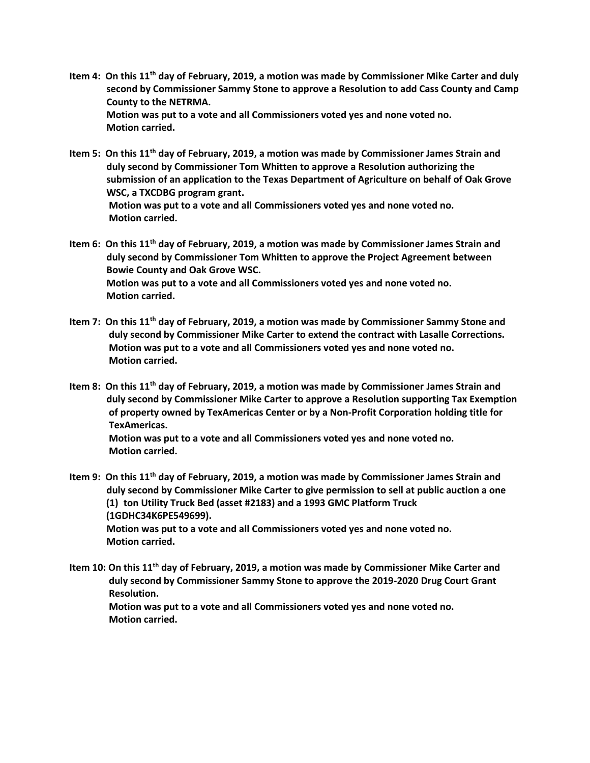- **Item 4: On this 11th day of February, 2019, a motion was made by Commissioner Mike Carter and duly second by Commissioner Sammy Stone to approve a Resolution to add Cass County and Camp County to the NETRMA. Motion was put to a vote and all Commissioners voted yes and none voted no. Motion carried.**
- **Item 5: On this 11th day of February, 2019, a motion was made by Commissioner James Strain and duly second by Commissioner Tom Whitten to approve a Resolution authorizing the submission of an application to the Texas Department of Agriculture on behalf of Oak Grove WSC, a TXCDBG program grant. Motion was put to a vote and all Commissioners voted yes and none voted no. Motion carried.**
- **Item 6: On this 11th day of February, 2019, a motion was made by Commissioner James Strain and duly second by Commissioner Tom Whitten to approve the Project Agreement between Bowie County and Oak Grove WSC. Motion was put to a vote and all Commissioners voted yes and none voted no. Motion carried.**
- **Item 7: On this 11th day of February, 2019, a motion was made by Commissioner Sammy Stone and duly second by Commissioner Mike Carter to extend the contract with Lasalle Corrections. Motion was put to a vote and all Commissioners voted yes and none voted no. Motion carried.**
- **Item 8: On this 11th day of February, 2019, a motion was made by Commissioner James Strain and duly second by Commissioner Mike Carter to approve a Resolution supporting Tax Exemption of property owned by TexAmericas Center or by a Non-Profit Corporation holding title for TexAmericas. Motion was put to a vote and all Commissioners voted yes and none voted no. Motion carried.**
- **Item 9: On this 11th day of February, 2019, a motion was made by Commissioner James Strain and duly second by Commissioner Mike Carter to give permission to sell at public auction a one (1) ton Utility Truck Bed (asset #2183) and a 1993 GMC Platform Truck (1GDHC34K6PE549699). Motion was put to a vote and all Commissioners voted yes and none voted no. Motion carried.**
- **Item 10: On this 11th day of February, 2019, a motion was made by Commissioner Mike Carter and duly second by Commissioner Sammy Stone to approve the 2019-2020 Drug Court Grant Resolution.**

 **Motion was put to a vote and all Commissioners voted yes and none voted no. Motion carried.**